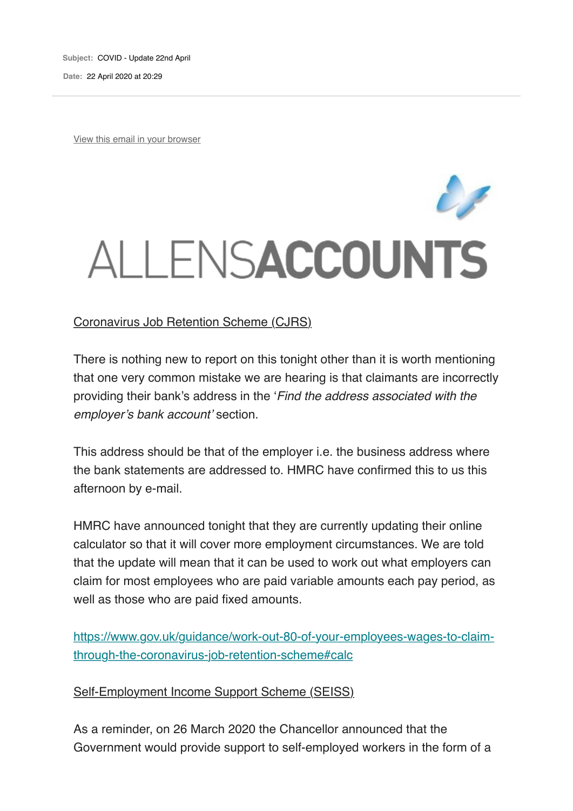**Subject:** COVID - Update 22nd April **Date:** 22 April 2020 at 20:29

View this email in your browser

## ALLENSACCOUNTS

## Coronavirus Job Retention Scheme (CJRS)

There is nothing new to report on this tonight other than it is worth mentioning that one very common mistake we are hearing is that claimants are incorrectly providing their bank's address in the '*Find the address associated with the employer's bank account'* section.

This address should be that of the employer i.e. the business address where the bank statements are addressed to. HMRC have confirmed this to us this afternoon by e-mail.

HMRC have announced tonight that they are currently updating their online calculator so that it will cover more employment circumstances. We are told that the update will mean that it can be used to work out what employers can claim for most employees who are paid variable amounts each pay period, as well as those who are paid fixed amounts.

https://www.gov.uk/guidance/work-out-80-of-your-employees-wages-to-claimthrough-the-coronavirus-job-retention-scheme#calc

Self-Employment Income Support Scheme (SEISS)

As a reminder, on 26 March 2020 the Chancellor announced that the Government would provide support to self-employed workers in the form of a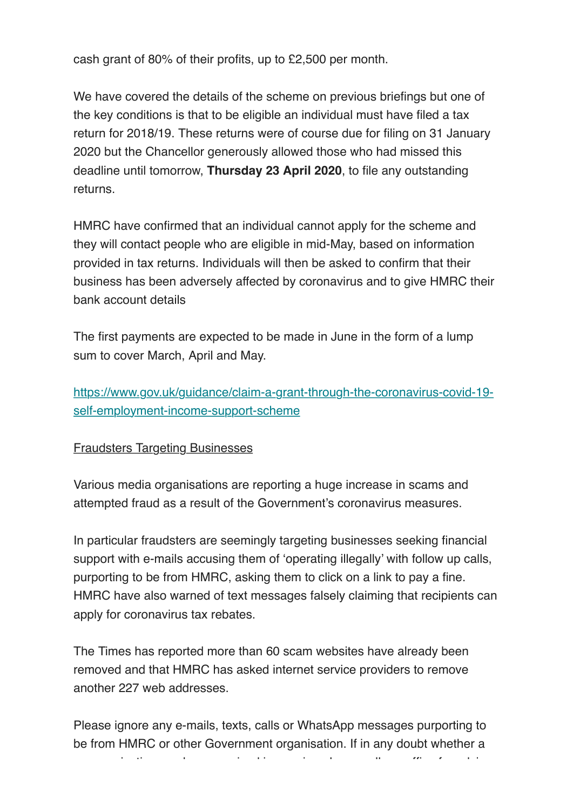cash grant of 80% of their profits, up to £2,500 per month.

We have covered the details of the scheme on previous briefings but one of the key conditions is that to be eligible an individual must have filed a tax return for 2018/19. These returns were of course due for filing on 31 January 2020 but the Chancellor generously allowed those who had missed this deadline until tomorrow, **Thursday 23 April 2020**, to file any outstanding returns.

HMRC have confirmed that an individual cannot apply for the scheme and they will contact people who are eligible in mid-May, based on information provided in tax returns. Individuals will then be asked to confirm that their business has been adversely affected by coronavirus and to give HMRC their bank account details

The first payments are expected to be made in June in the form of a lump sum to cover March, April and May.

https://www.gov.uk/guidance/claim-a-grant-through-the-coronavirus-covid-19 self-employment-income-support-scheme

Fraudsters Targeting Businesses

Various media organisations are reporting a huge increase in scams and attempted fraud as a result of the Government's coronavirus measures.

In particular fraudsters are seemingly targeting businesses seeking financial support with e-mails accusing them of 'operating illegally' with follow up calls, purporting to be from HMRC, asking them to click on a link to pay a fine. HMRC have also warned of text messages falsely claiming that recipients can apply for coronavirus tax rebates.

The Times has reported more than 60 scam websites have already been removed and that HMRC has asked internet service providers to remove another 227 web addresses.

Please ignore any e-mails, texts, calls or WhatsApp messages purporting to be from HMRC or other Government organisation. If in any doubt whether a

communication you have received in the communication of advice for advice. The communication of advice for adv<br>The communication of advice for advice for advice for advice for advice. The communication of advice for advice